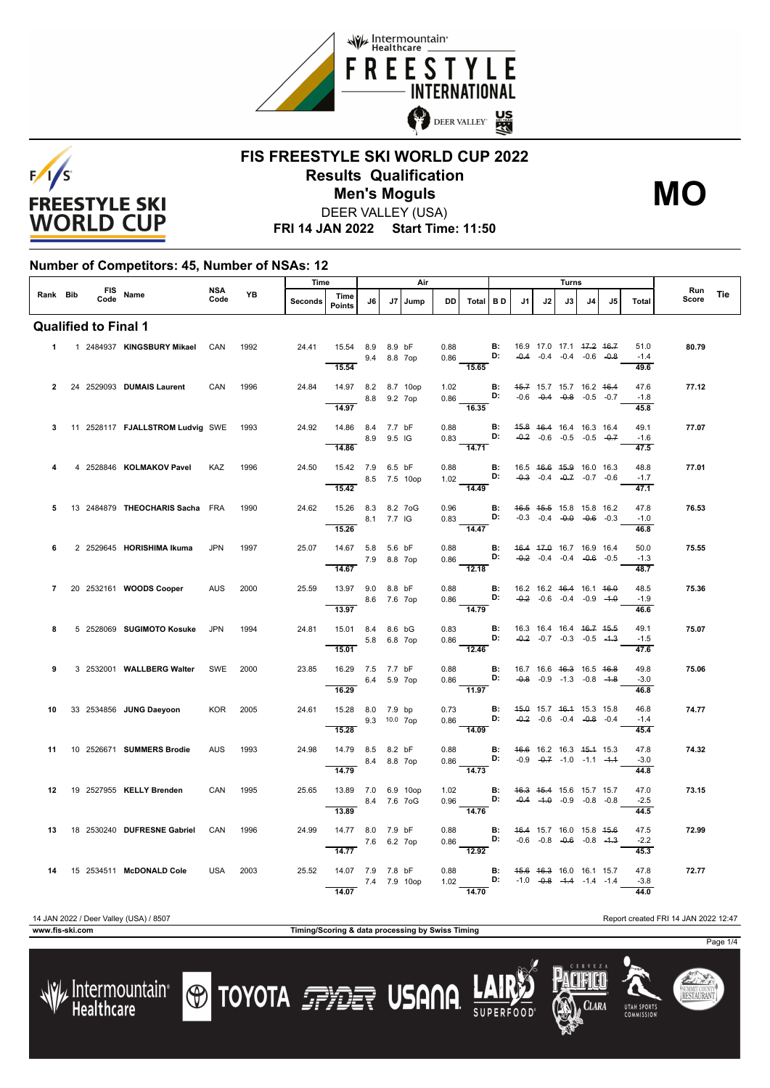



## **FIS FREESTYLE SKI WORLD CUP 2022 Results Qualification** DEER VALLEY (USA) **Men's Moguls MO**

**FRI 14 JAN 2022 Start Time: 11:50**

## **Number of Competitors: 45, Number of NSAs: 12**

|                             |  |  |                                              |             |           | Time    |                                                       | Air |    |             |           |                                                                                                                                  |                |                                                |    | Turns                                                   |                |                                    |                        |              |            |
|-----------------------------|--|--|----------------------------------------------|-------------|-----------|---------|-------------------------------------------------------|-----|----|-------------|-----------|----------------------------------------------------------------------------------------------------------------------------------|----------------|------------------------------------------------|----|---------------------------------------------------------|----------------|------------------------------------|------------------------|--------------|------------|
| Rank Bib                    |  |  | FIS Name                                     | NSA<br>Code | <b>YB</b> | Seconds | Time<br>Points                                        | J6  | J7 | <b>Jumn</b> | <b>DD</b> | Total BD                                                                                                                         |                | J1                                             | J2 | J3                                                      | J <sub>4</sub> | .15                                | Total                  | Run<br>Score | <b>Tie</b> |
| <b>Qualified to Final 1</b> |  |  |                                              |             |           |         |                                                       |     |    |             |           |                                                                                                                                  |                |                                                |    |                                                         |                |                                    |                        |              |            |
|                             |  |  | 1 1 2484937 KINGSBURY Mikael CAN             |             | 1992      |         | 24.41 15.54 8.9 8.9 bF<br>9.4 8.8 7op<br>15.54        |     |    |             |           | 0.88 <b>B:</b> 16.9 17.0 17.1 <del>17.2 16.7</del><br>$0.86$ D: $-0.4$ $-0.4$ $-0.4$ $-0.6$ $-0.8$<br>15.65                      |                |                                                |    |                                                         |                |                                    | 51.0<br>$-1.4$<br>49.6 | 80.79        |            |
|                             |  |  | 2 24 2529093 DUMAIS Laurent                  | CAN         | 1996      | 24.84   | 14.97 8.2 8.7 10op<br>8.8 9.2 7op<br>14.97            |     |    |             |           | $1.02$ B:<br>0.86 D:<br>$-16.35$                                                                                                 |                | 45.7 15.7 15.7 16.2 46.4                       |    | $-0.6$ $-0.4$ $-0.8$ $-0.5$ $-0.7$                      |                |                                    | 47.6<br>$-1.8$<br>45.8 | 77.12        |            |
| 3                           |  |  | 11 2528117 <b>FJALLSTROM Ludvig SWE</b> 1993 |             |           | 24.92   | 14.86 8.4 7.7 bF<br>8.9 9.5 IG<br>14.86               |     |    |             |           | 0.88 <b>B:</b> 4 <del>5.8</del> 46.4 16.4 16.3 16.4<br>0.83 <b>D:</b> -0.2 -0.6 -0.5 -0.5 -0. <del>7</del><br>$\overline{14.71}$ |                |                                                |    |                                                         |                |                                    | 49.1<br>$-1.6$<br>47.5 | 77.07        |            |
| 4                           |  |  | 4 2528846 KOLMAKOV Pavel                     | KAZ         | 1996      | 24.50   | 15.42 7.9 6.5 bF<br>8.5 7.5 10op<br>15.42             |     |    |             |           | $0.88$ <b>B:</b><br>1.02 <b>D:</b><br>14.49                                                                                      |                |                                                |    | 16.5 46.6 45.9 16.0 16.3<br>$-0.3$ $-0.4$ $-0.7$ $-0.6$ |                |                                    | 48.8<br>$-1.7$<br>47.1 | 77.01        |            |
| 5                           |  |  | 13 2484879 THEOCHARIS Sacha FRA              |             | 1990      | 24.62   | 15.26 8.3 8.2 7oG<br>8.1 7.7 IG<br>15.26              |     |    |             | 0.96      | 0.83 <b>D:</b> $-0.3$ -0.4 -0.4 -0.6 -0.3 -0.4<br>$\frac{1}{14.47}$                                                              |                | <b>B:</b> 46.5 45.5 15.8 15.8 16.2             |    |                                                         |                |                                    | 47.8<br>$-1.0$<br>46.8 | 76.53        |            |
| 6                           |  |  | 2 2529645 HORISHIMA Ikuma                    | <b>JPN</b>  | 1997      | 25.07   | 14.67 5.8 5.6 bF<br>7.9 8.8 7op<br>14.67              |     |    |             | 0.88      | 0.86 D: $-0.2$ $-0.4$ $-0.4$ $-0.6$ $-0.5$<br>$\overline{12.18}$                                                                 |                | <b>B:</b> 46.4 47.0 16.7 16.9 16.4             |    |                                                         |                |                                    | 50.0<br>$-1.3$<br>48.7 | 75.55        |            |
| $\overline{7}$              |  |  | 20 2532161 WOODS Cooper                      | <b>AUS</b>  | 2000      | 25.59   | 13.97 9.0 8.8 bF<br>8.6 7.6 7op<br>$\overline{13.97}$ |     |    |             |           | $0.88$ B:<br>$0.86$ D:<br>$\frac{D}{14.79}$                                                                                      |                | 16.2 16.2 <del>16.4</del> 16.1 <del>16.0</del> |    |                                                         |                | $-0.2$ $-0.6$ $-0.4$ $-0.9$ $-1.0$ | 48.5<br>$-1.9$<br>46.6 | 75.36        |            |
| 8                           |  |  | 5 2528069 SUGIMOTO Kosuke                    | <b>JPN</b>  | 1994      | 24.81   | 15.01 8.4 8.6 bG<br>5.8 6.8 7op<br>15.01              |     |    |             |           | 0.83 <b>B</b> : 16.3 16.4 16.4 <del>16.7 15.5</del><br>0.86 <b>D:</b> -0.2 -0.7 -0.3 -0.5 -1.3<br>$\frac{1}{12.46}$              |                |                                                |    |                                                         |                |                                    | 49.1<br>$-1.5$<br>47.6 | 75.07        |            |
| 9                           |  |  | 3 2532001 WALLBERG Walter                    | SWE         | 2000      | 23.85   | 16.29 7.5 7.7 bF<br>6.4 5.9 7op<br>16.29              |     |    |             |           | 0.88 <b>B</b> : 16.7 16.6 46.3 16.5 46.8<br>0.86 <b>D:</b> -0.8 -0.9 -1.3 -0.8 -4.8<br>11.97                                     |                |                                                |    |                                                         |                |                                    | 49.8<br>$-3.0$<br>46.8 | 75.06        |            |
| 10                          |  |  | 33 2534856 JUNG Daeyoon                      | KOR 2005    |           | 24.61   | 15.28 8.0 7.9 bp<br>$9.3$ 10.0 7op<br>15.28           |     |    |             |           | 0.73 <b>B</b> : $45.0$ 15.7 $46.4$ 15.3 15.8<br>0.86 <b>D:</b> $-0.2$ -0.6 -0.4 $-0.8$ -0.4<br>14.09                             |                |                                                |    |                                                         |                |                                    | 46.8<br>$-1.4$<br>45.4 | 74.77        |            |
| 11                          |  |  | 10 2526671 SUMMERS Brodie                    | <b>AUS</b>  | 1993      | 24.98   | 14.79 8.5 8.2 bF<br>8.4 8.8 7op<br>14.79              |     |    |             | 0.88      | 0.86 <b>D</b> : $-0.9$ $-0.7$ $-1.0$ $-1.1$ $-4.4$<br>14.73                                                                      | <b>B:</b>      | 46.6 16.2 16.3 45.4 15.3                       |    |                                                         |                |                                    | 47.8<br>$-3.0$<br>44.8 | 74.32        |            |
| 12 <sub>1</sub>             |  |  | 19 2527955 KELLY Brenden                     | CAN         | 1995      | 25.65   | 13.89 7.0 6.9 10op<br>8.4 7.6 7 oG                    |     |    |             |           | 1.02 <b>B:</b> $\frac{46.3}{15.4}$ 15.6 15.7 15.7<br>0.96 D: $-0.4$ $-1.0$ $-0.9$ $-0.8$ $-0.8$<br>$-14.76$                      |                |                                                |    |                                                         |                |                                    | 47.0<br>$-2.5$<br>44.5 | 73.15        |            |
| 13                          |  |  | 18 2530240 DUFRESNE Gabriel                  | CAN         | 1996      | 24.99   | 14.77 8.0 7.9 bF<br>7.6 6.2 7op<br>14.77              |     |    |             |           | 0.88 <b>B:</b> $46.4$ 15.7 16.0 15.8 $45.6$<br>0.86 <b>D:</b> -0.6 -0.8 -0. <del>6</del> -0.8 -4.3<br>$\frac{1000}{12.92}$       |                |                                                |    |                                                         |                |                                    | 47.5<br>$-2.2$<br>45.3 | 72.99        |            |
|                             |  |  | 14 15 2534511 McDONALD Cole                  | <b>USA</b>  | 2003      | 25.52   | 14.07 7.9 7.8 bF<br>7.4 7.9 10op<br>14.07             |     |    |             | 0.88      | 1.02 <b>D:</b> -1.0 -0.8 -1.4 -1.4 -1.4<br>$-14.70$                                                                              | $\mathbf{B}$ : |                                                |    | 45.6 46.3 16.0 16.1 15.7                                |                |                                    | 47.8<br>$-3.8$<br>44.0 | 72.77        |            |

**www.fis-ski.com Timing/Scoring & data processing by Swiss Timing**

Page 1/4



**TOYOTA FIRE USANA** 







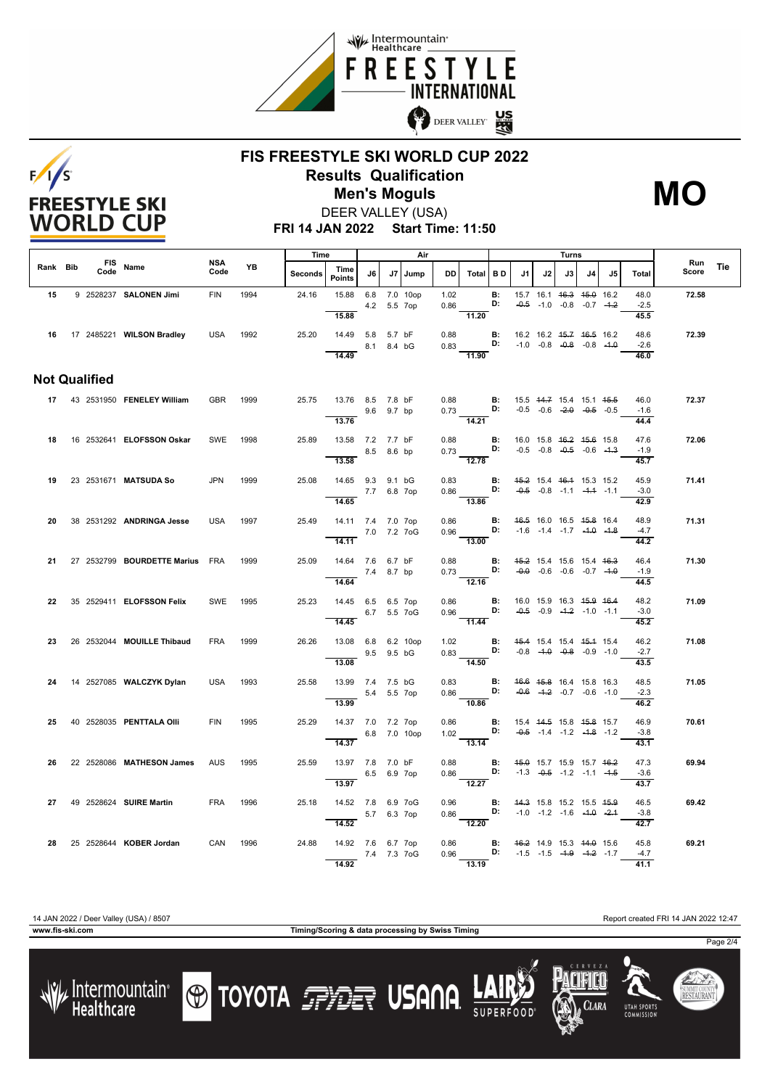



## **FIS FREESTYLE SKI WORLD CUP 2022 Results Qualification Men's Moguls MO**



**FRI 14 JAN 2022 Start Time: 11:50** DEER VALLEY (USA)

|          |                      |                                 |             | Time<br>Air |         |                                            |    |             |              |                                                                                               |                                                                                                                                              | Turns     |                                                 |    |    |                                                                           |    |                        |              |     |
|----------|----------------------|---------------------------------|-------------|-------------|---------|--------------------------------------------|----|-------------|--------------|-----------------------------------------------------------------------------------------------|----------------------------------------------------------------------------------------------------------------------------------------------|-----------|-------------------------------------------------|----|----|---------------------------------------------------------------------------|----|------------------------|--------------|-----|
| Rank Bib | Code                 | FIS Name                        | NSA<br>Code | YB          | Seconds | Time<br><b>Points</b>                      | J6 |             | J7 Jump      | DD                                                                                            | Total BD                                                                                                                                     |           | J1                                              | J2 | J3 | J <sub>4</sub>                                                            | J5 | Total                  | Run<br>Score | Tie |
| 15       |                      | 9 2528237 SALONEN Jimi          | <b>FIN</b>  | 1994        | 24.16   | 15.88<br>15.88                             |    | 4.2 5.5 7op | 6.8 7.0 10op | 1.02                                                                                          | 0.86<br>11.20                                                                                                                                | B:<br>D:  |                                                 |    |    | 15.7 16.1 <del>16.3</del> 45.0 16.2<br>$-0.5$ $-1.0$ $-0.8$ $-0.7$ $-1.2$ |    | 48.0<br>$-2.5$<br>45.5 | 72.58        |     |
|          |                      | 16 17 2485221 WILSON Bradley    | USA         | 1992        | 25.20   | 14.49 5.8 5.7 bF<br>14.49                  |    | 8.1 8.4 bG  |              | 0.88                                                                                          | 0.83 <b>D:</b> $-1.0$ $-0.8$ $-0.8$ $-0.8$ $-1.0$<br>11.90                                                                                   |           | <b>B</b> : 16.2 16.2 4 <del>5.7</del> 46.5 16.2 |    |    |                                                                           |    | 48.6<br>$-2.6$<br>46.0 | 72.39        |     |
|          | <b>Not Qualified</b> |                                 |             |             |         |                                            |    |             |              |                                                                                               |                                                                                                                                              |           |                                                 |    |    |                                                                           |    |                        |              |     |
|          |                      | 17 43 2531950 FENELEY William   | <b>GBR</b>  | 1999        | 25.75   | 13.76 8.5 7.8 bF<br>13.76                  |    | 9.6 9.7 bp  |              | 0.88 <b>B:</b> 15.5 14.7 15.4 15.1 15.5 0.73 <b>D:</b> -0.5 -0.6 -2.0 -0.5 -0.5               | $\overline{14.21}$                                                                                                                           |           |                                                 |    |    |                                                                           |    | 46.0<br>$-1.6$<br>44.4 | 72.37        |     |
| 18       |                      | 16 2532641 ELOFSSON Oskar       | SWE         | 1998        | 25.89   | 13.58 7.2 7.7 bF                           |    | 8.5 8.6 bp  |              | 0.88                                                                                          | 0.73 $D:$ $-0.5$ $-0.8$ $-0.5$ $-0.6$ $-1.3$                                                                                                 | <b>B:</b> | 16.0 15.8 <del>16.2</del> <del>15.6</del> 15.8  |    |    |                                                                           |    | 47.6<br>$-1.9$         | 72.06        |     |
| 19       |                      | 23 2531671 <b>MATSUDA So</b>    | <b>JPN</b>  | 1999        | 25.08   | 13.58<br>14.65 9.3 9.1 bG<br>7.7 6.8 7op   |    |             |              |                                                                                               | 12.78<br>0.83 <b>B:</b> 45.2 15.4 46.4 15.3 15.2<br>$0.86$ $\frac{D:}{13.86}$ $\frac{-0.5}{13.86}$ $-0.8$ $-1.1$ $\frac{-1.1}{1.1}$ $-1.1$ . |           |                                                 |    |    |                                                                           |    | 45.7<br>45.9<br>$-3.0$ | 71.41        |     |
| 20       |                      | 38 2531292 ANDRINGA Jesse       | <b>USA</b>  | 1997        | 25.49   | 14.65<br>14.11 7.4 7.0 7op<br>7.0 7.2 7oG  |    |             |              | $0.86$ B:<br>0.96 D:                                                                          |                                                                                                                                              |           | 46.5 16.0 16.5 45.8 16.4                        |    |    | $-1.6$ $-1.4$ $-1.7$ $-1.9$ $-1.8$                                        |    | 42.9<br>48.9<br>$-4.7$ | 71.31        |     |
| 21       |                      | 27 2532799 BOURDETTE Marius FRA |             | 1999        | 25.09   | 14.11<br>14.64 7.6 6.7 bF<br>7.4 8.7 bp    |    |             |              | 0.88                                                                                          | 13.00<br>0.73 <b>D:</b> $-0.0$ -0.6 -0.6 -0.7 -1.0                                                                                           |           | <b>B:</b> 45.2 15.4 15.6 15.4 46.3              |    |    |                                                                           |    | 44.2<br>46.4<br>$-1.9$ | 71.30        |     |
| 22       |                      | 35 2529411 ELOFSSON Felix       | SWE         | 1995        | 25.23   | 14.64<br>14.45 6.5 6.5 7op                 |    | 6.7 5.5 7oG |              | 0.86                                                                                          | $\frac{1}{12.16}$<br>$0.96$ D:                                                                                                               | <b>B:</b> | 16.0 15.9 16.3 <del>15.9</del> 16.4             |    |    | $-0.5$ $-0.9$ $-4.2$ $-1.0$ $-1.1$                                        |    | 44.5<br>48.2<br>$-3.0$ | 71.09        |     |
| 23       |                      | 26 2532044 MOUILLE Thibaud      | <b>FRA</b>  | 1999        | 26.26   | 14.45<br>13.08 6.8 6.2 10op                |    | 9.5 9.5 bG  |              |                                                                                               | 11.44<br>1.02 <b>B</b> : 45.4 15.4 15.4 15.4 15.4<br>0.83 <b>D:</b> -0.8 -4.0 -0.8 -0.9 -1.0                                                 |           |                                                 |    |    |                                                                           |    | 45.2<br>46.2<br>$-2.7$ | 71.08        |     |
|          |                      | 24 14 2527085 WALCZYK Dylan     | <b>USA</b>  | 1993        | 25.58   | 13.08<br>13.99 7.4 7.5 bG                  |    | 5.4 5.5 7op |              |                                                                                               | 14.50<br>0.83 <b>B:</b> 46.6 45.8 16.4 15.8 16.3<br>0.86 <b>D:</b> $-0.6$ -1.2 -0.7 -0.6 -1.0                                                |           |                                                 |    |    |                                                                           |    | 43.5<br>48.5<br>$-2.3$ | 71.05        |     |
| 25       |                      | 40 2528035 PENTTALA Olli        | <b>FIN</b>  | 1995        | 25.29   | $\overline{13.99}$<br>14.37 7.0 7.2 7op    |    |             | 6.8 7.0 10op |                                                                                               | 10.86<br>0.86 <b>B</b> : 15.4 <del>14.5</del> 15.8 <del>15.8</del> 15.7<br>1.02 <b>D:</b> -0.5 -1.4 -1.2 - <del>1.8</del> -1.2               |           |                                                 |    |    |                                                                           |    | 46.2<br>46.9<br>$-3.8$ | 70.61        |     |
| 26       |                      | 22 2528086 MATHESON James AUS   |             | 1995        | 25.59   | 14.37<br>13.97 7.8 7.0 bF                  |    | 6.5 6.9 7op |              |                                                                                               | $\overline{13.14}$<br>0.88 <b>B:</b> 4 <del>5.0</del> 15.7 15.9 15.7 46.2<br>0.86 <b>D:</b> $-1.3$ $-0.5$ $-1.2$ $-1.1$ $-1.5$               |           |                                                 |    |    |                                                                           |    | 43.1<br>47.3<br>$-3.6$ | 69.94        |     |
| 27       |                      | 49 2528624 SUIRE Martin         | <b>FRA</b>  | 1996        | 25.18   | 13.97<br>14.52 7.8 6.9 7oG                 |    |             |              | 0.96                                                                                          | 12.27<br>0.86 <b>D:</b> $-1.0$ $-1.2$ $-1.6$ $-1.0$ $-2.1$                                                                                   |           | <b>B:</b> 44.3 15.8 15.2 15.5 45.9              |    |    |                                                                           |    | 43.7<br>46.5<br>$-3.8$ | 69.42        |     |
|          |                      |                                 |             |             |         | 14.52                                      |    | 5.7 6.3 7op |              |                                                                                               | $-12.20$                                                                                                                                     |           |                                                 |    |    |                                                                           |    | 42.7                   |              |     |
| 28       |                      | 25 2528644 KOBER Jordan         | <b>CAN</b>  | 1996        | 24.88   | 14.92 7.6 6.7 7op<br>7.4 7.3 7 og<br>14.92 |    |             |              | 0.80 <b>B:</b> $46-2$ 14.9 15.3 44.0 15.6<br>0.96 <b>D:</b> -1.5 -1.5 -4.9 -4.2 -1.7<br>13.19 |                                                                                                                                              |           | <b>B:</b> 46.2 14.9 15.3 44.0 15.6              |    |    |                                                                           |    | 45.8<br>$-4.7$<br>41.1 | 69.21        |     |

14 JAN 2022 / Deer Valley (USA) / 8507 Report created FRI 14 JAN 2022 12:47



**O TOYOTA FRIET USANA** 







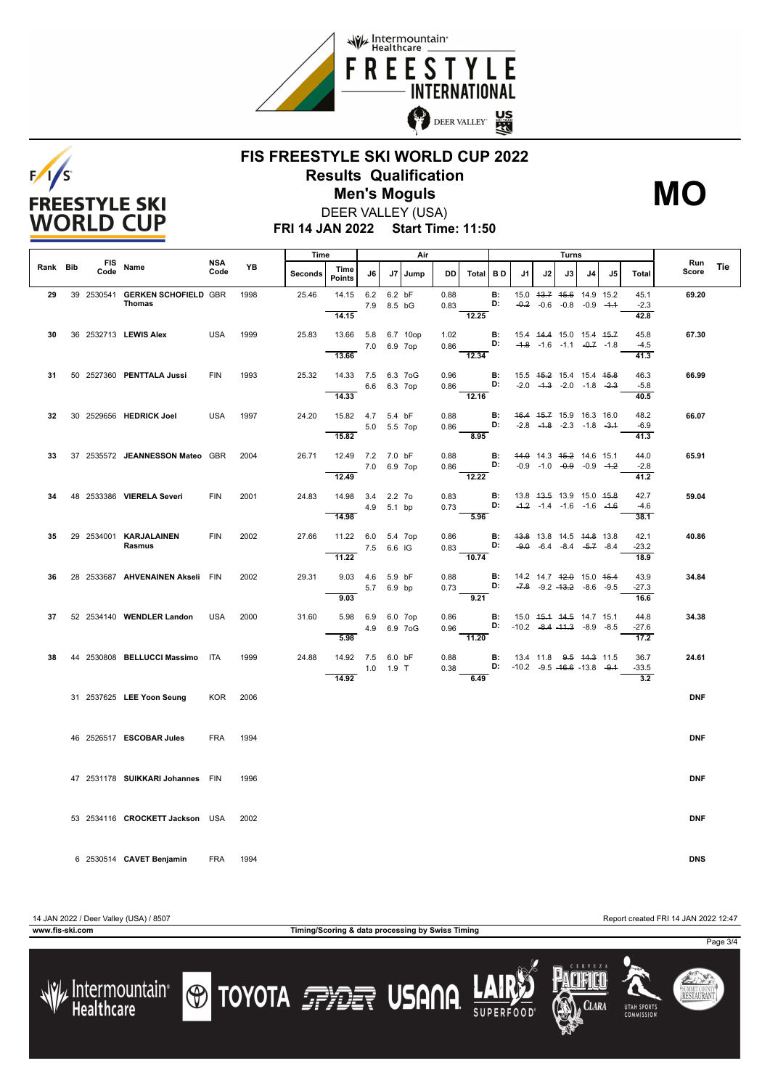



## **FIS FREESTYLE SKI WORLD CUP 2022 Results Qualification Men's Moguls MO**



**FRI 14 JAN 2022 Start Time: 11:50** DEER VALLEY (USA)

|          |                    |                                           | Time<br>Air        |      |         |                             |                   |        |             | Turns        |                            |                 | Run                                                                                              |    |    |                                                                                       |    |                                     |            |            |
|----------|--------------------|-------------------------------------------|--------------------|------|---------|-----------------------------|-------------------|--------|-------------|--------------|----------------------------|-----------------|--------------------------------------------------------------------------------------------------|----|----|---------------------------------------------------------------------------------------|----|-------------------------------------|------------|------------|
| Rank Bib | <b>FIS</b><br>Code | Name                                      | <b>NSA</b><br>Code | YB   | Seconds | Time<br><b>Points</b>       | J6                | J7     | Jump        | DD           | Total BD                   |                 | J1                                                                                               | J2 | J3 | J <sub>4</sub>                                                                        | J5 | Total                               | Score      | <b>Tie</b> |
| 29       |                    | 39 2530541 GERKEN SCHOFIELD GBR<br>Thomas |                    | 1998 | 25.46   | 14.15<br>14.15              | 6.2<br>7.9 8.5 bG | 6.2 bF |             | 0.88<br>0.83 | 12.25                      | <b>B:</b><br>D: |                                                                                                  |    |    | 15.0 43.7 45.6 14.9 15.2<br>$-0.2$ $-0.6$ $-0.8$ $-0.9$ $-4.4$                        |    | 45.1<br>$-2.3$<br>42.8              | 69.20      |            |
| 30       |                    | 36 2532713 LEWIS Alex                     | <b>USA</b>         | 1999 | 25.83   | 13.66 5.8 6.7 10op<br>13.66 | 7.0 6.9 7op       |        |             | 1.02<br>0.86 | 12.34                      | <b>B:</b><br>D: | 15.4 44.4 15.0 15.4 45.7                                                                         |    |    | $-4.8$ $-1.6$ $-1.1$ $-0.7$ $-1.8$                                                    |    | 45.8<br>$-4.5$<br>41.3              | 67.30      |            |
| 31       |                    | 50 2527360 PENTTALA Jussi                 | <b>FIN</b>         | 1993 | 25.32   | 14.33 7.5 6.3 7oG<br>14.33  | 6.6 6.3 7op       |        |             | 0.96<br>0.86 | 12.16                      | <b>B:</b><br>D: |                                                                                                  |    |    | 15.5 45.2 15.4 15.4 45.8<br>$-2.0$ $-4.3$ $-2.0$ $-1.8$ $-2.3$                        |    | 46.3<br>$-5.8$<br>40.5              | 66.99      |            |
| 32       |                    | 30 2529656 HEDRICK Joel                   | <b>USA</b>         | 1997 | 24.20   | 15.82  4.7  5.4 bF<br>15.82 | 5.0 5.5 7op       |        |             | 0.88<br>0.86 | 8.95                       | В:<br>D:        |                                                                                                  |    |    | 46.4 45.7 15.9 16.3 16.0<br>$-2.8$ $-4.8$ $-2.3$ $-1.8$ $-3.4$                        |    | 48.2<br>$-6.9$<br>41.3              | 66.07      |            |
| 33       |                    | 37 2535572 JEANNESSON Mateo GBR           |                    | 2004 | 26.71   | 12.49 7.2 7.0 bF<br>12.49   | 7.0 6.9 7op       |        |             | 0.88<br>0.86 | 12.22                      | <b>B:</b><br>D: |                                                                                                  |    |    | 44.0 14.3 45.2 14.6 15.1<br>$-0.9$ $-1.0$ $-0.9$ $-0.9$ $-4.2$                        |    | 44.0<br>$-2.8$<br>41.2              | 65.91      |            |
| 34       |                    | 48 2533386 VIERELA Severi                 | <b>FIN</b>         | 2001 | 24.83   | 14.98 3.4 2.2 7o<br>14.98   | 4.9 5.1 bp        |        |             | 0.83         | $0.73$ D:<br>$-5.96$       | <b>B:</b>       |                                                                                                  |    |    | 13.8 43.5 13.9 15.0 45.8<br>$-4.2$ $-1.4$ $-1.6$ $-1.6$ $-4.6$                        |    | 42.7<br>$-4.6$<br>38.1              | 59.04      |            |
| 35.      |                    | 29 2534001 KARJALAINEN<br>Rasmus          | <b>FIN</b>         | 2002 | 27.66   | 11.22 6.0 5.4 7op<br>11.22  | 7.5 6.6 IG        |        |             | 0.86         | 0.83<br>$\overline{10.74}$ |                 | <b>B:</b> 43.8 13.8 14.5 44.8 13.8<br>D: $-9.0$ $-6.4$ $-8.4$ $-5.7$ $-8.4$                      |    |    |                                                                                       |    | 42.1<br>$-23.2$<br>18.9             | 40.86      |            |
| 36.      |                    | 28 2533687 AHVENAINEN Akseli FIN          |                    | 2002 | 29.31   | 9.03  4.6  5.9 bF<br>9.03   | 5.7 6.9 bp        |        |             | 0.88         | $\overline{9.21}$          | <b>B:</b><br>D: |                                                                                                  |    |    | 14.2 14.7 <del>12.0</del> 15.0 <del>15.4</del><br>$-7.8$ $-9.2$ $-43.2$ $-8.6$ $-9.5$ |    | 43.9<br>$-27.3$<br>16.6             | 34.84      |            |
| 37       |                    | 52 2534140 WENDLER Landon                 | <b>USA</b>         | 2000 | 31.60   | 5.98 6.9 6.0 7op<br>5.98    |                   |        | 4.9 6.9 7oG | 0.86         | 0.96<br>$-11.20$           | В:              | 15.0 <del>15.1</del> <del>14.5</del> 14.7 15.1<br><b>D:</b> $-10.2$ $-8.4$ $-11.3$ $-8.9$ $-8.5$ |    |    |                                                                                       |    | 44.8<br>$-27.6$<br>17.2             | 34.38      |            |
| 38       |                    | 44 2530808 BELLUCCI Massimo ITA           |                    | 1999 | 24.88   | 14.92 7.5 6.0 bF<br>14.92   | $1.0$ $1.9$ T     |        |             | 0.88<br>0.38 | 6.49                       | <b>B:</b>       | 13.4 11.8 9.5 44.3 11.5<br><b>D:</b> $-10.2$ $-9.5$ $-16.6$ $-13.8$ $-9.4$                       |    |    |                                                                                       |    | 36.7<br>$-33.5$<br>$\overline{3.2}$ | 24.61      |            |
|          |                    | 31 2537625 LEE Yoon Seung                 | <b>KOR</b>         | 2006 |         |                             |                   |        |             |              |                            |                 |                                                                                                  |    |    |                                                                                       |    |                                     | <b>DNF</b> |            |
|          |                    | 46 2526517 ESCOBAR Jules                  | <b>FRA</b>         | 1994 |         |                             |                   |        |             |              |                            |                 |                                                                                                  |    |    |                                                                                       |    |                                     | <b>DNF</b> |            |
|          |                    | 47 2531178 SUIKKARI Johannes FIN          |                    | 1996 |         |                             |                   |        |             |              |                            |                 |                                                                                                  |    |    |                                                                                       |    |                                     | <b>DNF</b> |            |
|          |                    | 53 2534116 CROCKETT Jackson USA           |                    | 2002 |         |                             |                   |        |             |              |                            |                 |                                                                                                  |    |    |                                                                                       |    |                                     | <b>DNF</b> |            |
|          |                    | 6 2530514 CAVET Benjamin                  | FRA                | 1994 |         |                             |                   |        |             |              |                            |                 |                                                                                                  |    |    |                                                                                       |    |                                     | <b>DNS</b> |            |

/ Intermountain<br>Healthcare

**www.fis-ski.com Timing/Scoring & data processing by Swiss Timing**

**TOYOTA FELLER USANA** 

14 JAN 2022 / Deer Valley (USA) / 8507 Report created FRI 14 JAN 2022 12:47

CLARA

**UTAH SPORT** 

Page 3/4

SUMMIT COUNT<br>**RESTAURAN**T